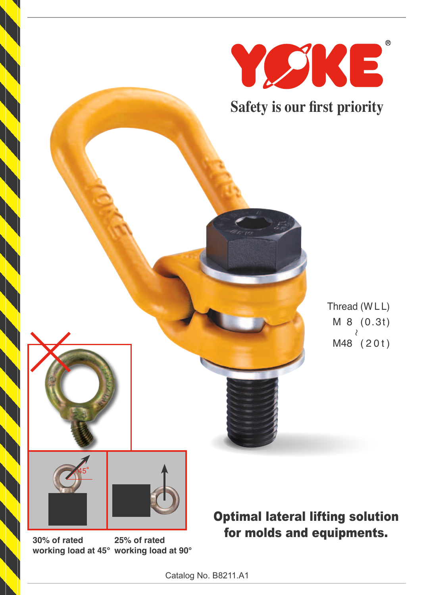

**30% of rated working load at 45° working load at 90° 25% of rated**

Optimal lateral lifting solution for molds and equipments.

∼

 $\circledR$ 

Catalog No. B8211.A1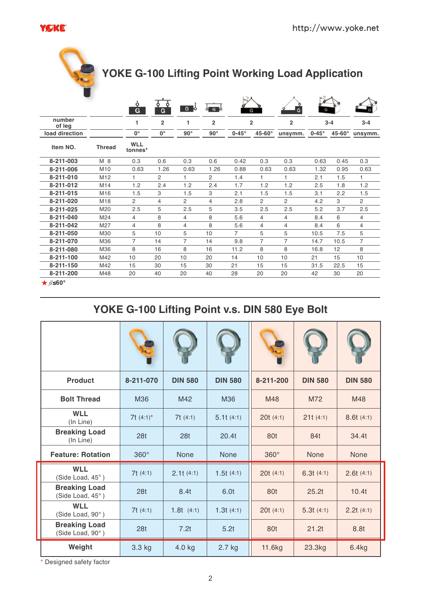

# **YOKE G-100 Lifting Point Working Load Application**

|                  |                 | ò<br>G                | Ò<br>٥<br>G    | G              | ା ତ            | G                      |                | G                         |              |        |                |  |
|------------------|-----------------|-----------------------|----------------|----------------|----------------|------------------------|----------------|---------------------------|--------------|--------|----------------|--|
| number<br>of leg |                 | 1                     | $\overline{2}$ | 1              | $\overline{2}$ | $\overline{2}$         |                | $\overline{2}$<br>$3 - 4$ |              |        | $3 - 4$        |  |
| load direction   |                 | $0^{\circ}$           | $0^{\circ}$    | $90^\circ$     | $90^{\circ}$   | $0-45^\circ$<br>45-60° |                | unsymm.                   | $0-45^\circ$ | 45-60° | unsymm.        |  |
| Item NO.         | <b>Thread</b>   | <b>WLL</b><br>tonnes* |                |                |                |                        |                |                           |              |        |                |  |
| 8-211-003        | M 8             | 0.3                   | 0.6            | 0.3            | 0.6            | 0.42                   | 0.3            | 0.3                       | 0.63         | 0.45   | 0.3            |  |
| 8-211-006        | M <sub>10</sub> | 0.63                  | 1.26           | 0.63           | 1.26           | 0.88                   | 0.63           | 0.63                      | 1.32         | 0.95   | 0.63           |  |
| 8-211-010        | M <sub>12</sub> | 1                     | 2              | 1.             | $\overline{c}$ | 1.4                    | 1              | 1.                        | 2.1          | 1.5    | 1              |  |
| 8-211-012        | M <sub>14</sub> | 1.2                   | 2.4            | 1.2            | 2.4            | 1.7                    | 1.2            | 1.2                       | 2.5          | 1.8    | 1.2            |  |
| 8-211-015        | M16             | 1.5                   | 3              | 1.5            | 3              | 2.1                    | 1.5            | 1.5                       | 3.1          | 2.2    | 1.5            |  |
| 8-211-020        | M18             | $\overline{2}$        | $\overline{4}$ | 2              | 4              | 2.8                    | $\overline{2}$ | $\overline{2}$            | 4.2          | 3      | $\overline{2}$ |  |
| 8-211-025        | M20             | 2.5                   | 5              | 2.5            | 5              | 3.5                    | 2.5            | 2.5                       | 5.2          | 3.7    | 2.5            |  |
| 8-211-040        | M <sub>24</sub> | 4                     | 8              | 4              | 8              | 5.6                    | 4              | 4                         | 8.4          | 6      | 4              |  |
| 8-211-042        | M27             | 4                     | 8              | 4              | 8              | 5.6                    | 4              | 4                         | 8.4          | 6      | $\overline{4}$ |  |
| 8-211-050        | M30             | 5                     | 10             | 5              | 10             | $\overline{7}$         | 5              | 5                         | 10.5         | 7.5    | 5              |  |
| 8-211-070        | M36             | 7                     | 14             | $\overline{7}$ | 14             | 9.8                    | $\overline{7}$ | $\overline{7}$            | 14.7         | 10.5   | $\overline{7}$ |  |
| 8-211-080        | M36             | 8                     | 16             | 8              | 16             | 11.2                   | 8              | 8                         | 16.8         | 12     | 8              |  |
| 8-211-100        | M42             | 10                    | 20             | 10             | 20             | 14                     | 10             | 10                        | 21           | 15     | 10             |  |
| 8-211-150        | M42             | 15                    | 30             | 15             | 30             | 21                     | 15             | 15                        | 31.5         | 22.5   | 15             |  |
| 8-211-200        | M48             | 20                    | 40             | 20             | 40             | 28                     | 20             | 20                        | 42           | 30     | 20             |  |
| $★$ $\beta$ ≤60° |                 |                       |                |                |                |                        |                |                           |              |        |                |  |

### **YOKE G-100 Lifting Point v.s. DIN 580 Eye Bolt**

| <b>Product</b>                           | 8-211-070       | <b>DIN 580</b>  | <b>DIN 580</b> | 8-211-200   | <b>DIN 580</b> | <b>DIN 580</b> |
|------------------------------------------|-----------------|-----------------|----------------|-------------|----------------|----------------|
| <b>Bolt Thread</b>                       | M36             | M42             | M36            | M48         | M72            | M48            |
| <b>WLL</b><br>(In Line)                  | 7t $(4:1)^*$    | 7t(4:1)         | 5.1t(4:1)      | 20t(4:1)    | 21t(4:1)       | 8.6t(4:1)      |
| <b>Breaking Load</b><br>(In Line)        | 28 <sub>t</sub> | 28 <sub>t</sub> | 20.4t          | 80t         | 84t            | 34.4t          |
| <b>Feature: Rotation</b>                 | $360^\circ$     | <b>None</b>     | <b>None</b>    | $360^\circ$ | None           | <b>None</b>    |
| <b>WLL</b><br>(Side Load, 45°)           | 7t(4:1)         | 2.1t(4:1)       | 1.5t(4:1)      | 20t(4:1)    | 6.3t(4:1)      | 2.6t(4:1)      |
| <b>Breaking Load</b><br>(Side Load, 45°) | 28 <sub>t</sub> | 8.4t            | 6.0t           | 80t         | 25.2t          | 10.4t          |
| <b>WLL</b><br>(Side Load, 90°)           | 7t(4:1)         | 1.8t(4:1)       | 1.3t(4:1)      | 20t(4:1)    | 5.3t(4:1)      | 2.2t(4:1)      |
| <b>Breaking Load</b><br>(Side Load, 90°) | 28 <sub>t</sub> | 7.2t            | 5.2t           | 80t         | 21.2t          | 8.8t           |
| Weight                                   | 3.3 kg          | 4.0 kg          | 2.7 kg         | 11.6kg      | 23.3kg         | 6.4kg          |

\* Designed safety factor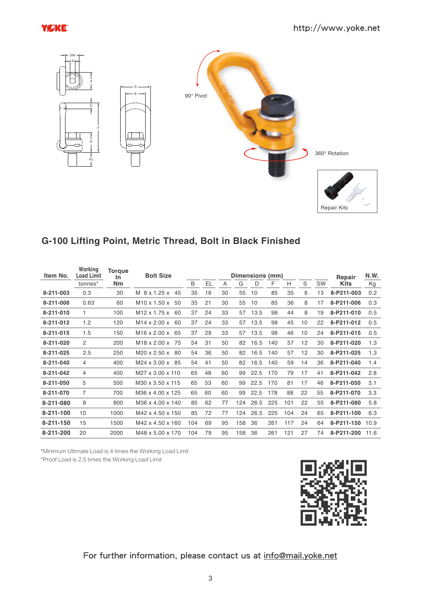



#### **G-100 Lifting Point, Metric Thread, Bolt in Black Finished**

| Item No.  | Working<br><b>Load Limit</b> | Torque<br><u>In</u> | <b>Bolt Size</b>               | Dimensions (mm) |           |                |     |      |     |     |    |           | Repair      | N.W. |
|-----------|------------------------------|---------------------|--------------------------------|-----------------|-----------|----------------|-----|------|-----|-----|----|-----------|-------------|------|
|           | tonnes*                      | Nm                  |                                | B               | <b>EL</b> | $\overline{A}$ | G   | D    | F   | Н   | S  | <b>SW</b> | <b>Kits</b> | Kg   |
| 8-211-003 | 0.3                          | 30                  | M 8 x 1.25 x<br>45             | 35              | 16        | 30             | 55  | 10   | 85  | 35  | 6  | 13        | 8-P211-003  | 0.2  |
| 8-211-006 | 0.63                         | 60                  | $M10 \times 1.50 \times$<br>50 | 35              | 21        | 30             | 55  | 10   | 85  | 36  | 8  | 17        | 8-P211-006  | 0.3  |
| 8-211-010 | 1                            | 100                 | M <sub>12</sub> x 1.75 x<br>60 | 37              | 24        | 33             | 57  | 13.5 | 98  | 44  | 8  | 19        | 8-P211-010  | 0.5  |
| 8-211-012 | 1.2                          | 120                 | M14 x 2.00 x<br>60             | 37              | 24        | 33             | 57  | 13.5 | 98  | 45  | 10 | 22        | 8-P211-012  | 0.5  |
| 8-211-015 | 1.5                          | 150                 | $M16 \times 2.00 \times$<br>65 | 37              | 29        | 33             | 57  | 13.5 | 98  | 46  | 10 | 24        | 8-P211-015  | 0.5  |
| 8-211-020 | 2                            | 200                 | M <sub>18</sub> x 2.00 x 75    | 54              | 31        | 50             | 82  | 16.5 | 140 | 57  | 12 | 30        | 8-P211-020  | 1.3  |
| 8-211-025 | 2.5                          | 250                 | M20 x 2.50 x<br>-80            | 54              | 36        | 50             | 82  | 16.5 | 140 | 57  | 12 | 30        | 8-P211-025  | 1.3  |
| 8-211-040 | 4                            | 400                 | M24 x 3.00 x<br>-85            | 54              | 41        | 50             | 82  | 16.5 | 140 | 59  | 14 | 36        | 8-P211-040  | 1.4  |
| 8-211-042 | 4                            | 400                 | M27 x 3.00 x 110               | 65              | 48        | 60             | 99  | 22.5 | 170 | 79  | 17 | 41        | 8-P211-042  | 2.8  |
| 8-211-050 | 5                            | 500                 | M30 x 3.50 x 115               | 65              | 53        | 60             | 99  | 22.5 | 170 | 81  | 17 | 46        | 8-P211-050  | 3.1  |
| 8-211-070 | 7                            | 700                 | M36 x 4.00 x 125               | 65              | 60        | 60             | 99  | 22.5 | 178 | 88  | 22 | 55        | 8-P211-070  | 3.3  |
| 8-211-080 | 8                            | 800                 | M36 x 4.00 x 140               | 85              | 62        | 77             | 124 | 26.5 | 225 | 101 | 22 | 55        | 8-P211-080  | 5.8  |
| 8-211-100 | 10                           | 1000                | M42 x 4.50 x 150               | 85              | 72        | 77             | 124 | 26.5 | 225 | 104 | 24 | 65        | 8-P211-100  | 6.3  |
| 8-211-150 | 15                           | 1500                | M42 x 4.50 x 160               | 104             | 69        | 95             | 158 | 36   | 261 | 117 | 24 | 64        | 8-P211-150  | 10.9 |
| 8-211-200 | 20                           | 2000                | M48 x 5.00 x 170               | 104             | 79        | 95             | 158 | 36   | 261 | 121 | 27 | 74        | 8-P211-200  | 11.6 |

\*Minimum Ultimate Load is 4 times the Working Load Limit

\*Proof Load is 2.5 times the Working Load Limit



#### For further information, please contact us at info@mail.yoke.net